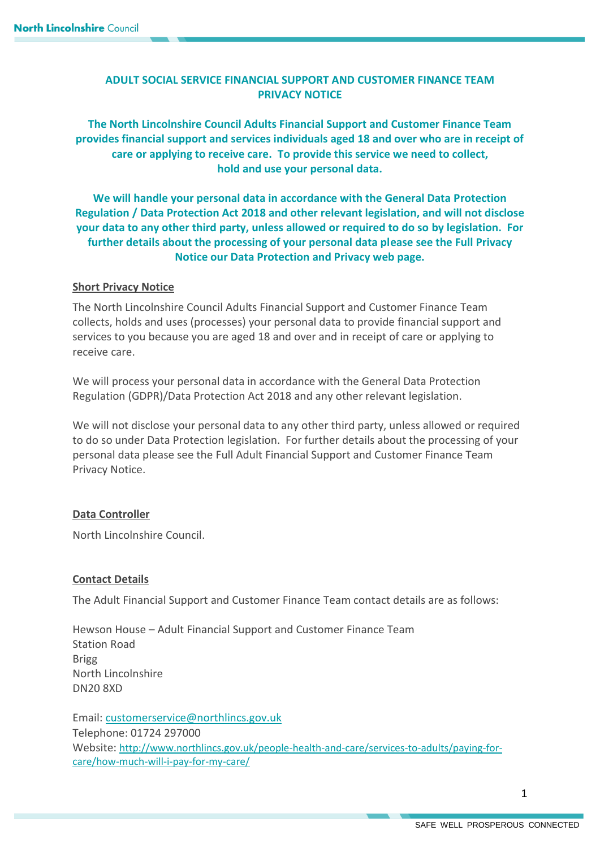# **ADULT SOCIAL SERVICE FINANCIAL SUPPORT AND CUSTOMER FINANCE TEAM PRIVACY NOTICE**

**The North Lincolnshire Council Adults Financial Support and Customer Finance Team provides financial support and services individuals aged 18 and over who are in receipt of care or applying to receive care. To provide this service we need to collect, hold and use your personal data.**

**We will handle your personal data in accordance with the General Data Protection Regulation / Data Protection Act 2018 and other relevant legislation, and will not disclose your data to any other third party, unless allowed or required to do so by legislation. For further details about the processing of your personal data please see the Full Privacy Notice our Data Protection and Privacy web page.**

# **Short Privacy Notice**

The North Lincolnshire Council Adults Financial Support and Customer Finance Team collects, holds and uses (processes) your personal data to provide financial support and services to you because you are aged 18 and over and in receipt of care or applying to receive care.

We will process your personal data in accordance with the General Data Protection Regulation (GDPR)/Data Protection Act 2018 and any other relevant legislation.

We will not disclose your personal data to any other third party, unless allowed or required to do so under Data Protection legislation. For further details about the processing of your personal data please see the Full Adult Financial Support and Customer Finance Team Privacy Notice.

# **Data Controller**

North Lincolnshire Council.

# **Contact Details**

The Adult Financial Support and Customer Finance Team contact details are as follows:

Hewson House – Adult Financial Support and Customer Finance Team Station Road Brigg North Lincolnshire DN20 8XD

Email: [customerservice@northlincs.gov.uk](mailto:customerservice@northlincs.gov.uk) Telephone: 01724 297000 Website: [http://www.northlincs.gov.uk/people-health-and-care/services-to-adults/paying-for](http://www.northlincs.gov.uk/people-health-and-care/services-to-adults/paying-for-care/how-much-will-i-pay-for-my-care/)[care/how-much-will-i-pay-for-my-care/](http://www.northlincs.gov.uk/people-health-and-care/services-to-adults/paying-for-care/how-much-will-i-pay-for-my-care/)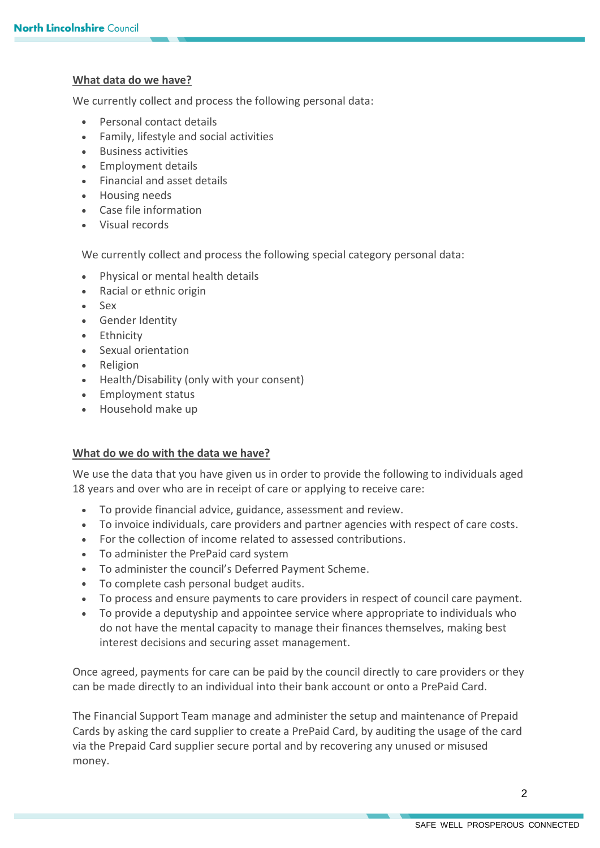# **What data do we have?**

We currently collect and process the following personal data:

- Personal contact details
- Family, lifestyle and social activities
- Business activities
- Employment details
- Financial and asset details
- Housing needs
- Case file information
- Visual records

We currently collect and process the following special category personal data:

- Physical or mental health details
- Racial or ethnic origin
- Sex
- Gender Identity
- Ethnicity
- Sexual orientation
- Religion
- Health/Disability (only with your consent)
- Employment status
- Household make up

# **What do we do with the data we have?**

We use the data that you have given us in order to provide the following to individuals aged 18 years and over who are in receipt of care or applying to receive care:

- To provide financial advice, guidance, assessment and review.
- To invoice individuals, care providers and partner agencies with respect of care costs.
- For the collection of income related to assessed contributions.
- To administer the PrePaid card system
- To administer the council's Deferred Payment Scheme.
- To complete cash personal budget audits.
- To process and ensure payments to care providers in respect of council care payment.
- To provide a deputyship and appointee service where appropriate to individuals who do not have the mental capacity to manage their finances themselves, making best interest decisions and securing asset management.

Once agreed, payments for care can be paid by the council directly to care providers or they can be made directly to an individual into their bank account or onto a PrePaid Card.

The Financial Support Team manage and administer the setup and maintenance of Prepaid Cards by asking the card supplier to create a PrePaid Card, by auditing the usage of the card via the Prepaid Card supplier secure portal and by recovering any unused or misused money.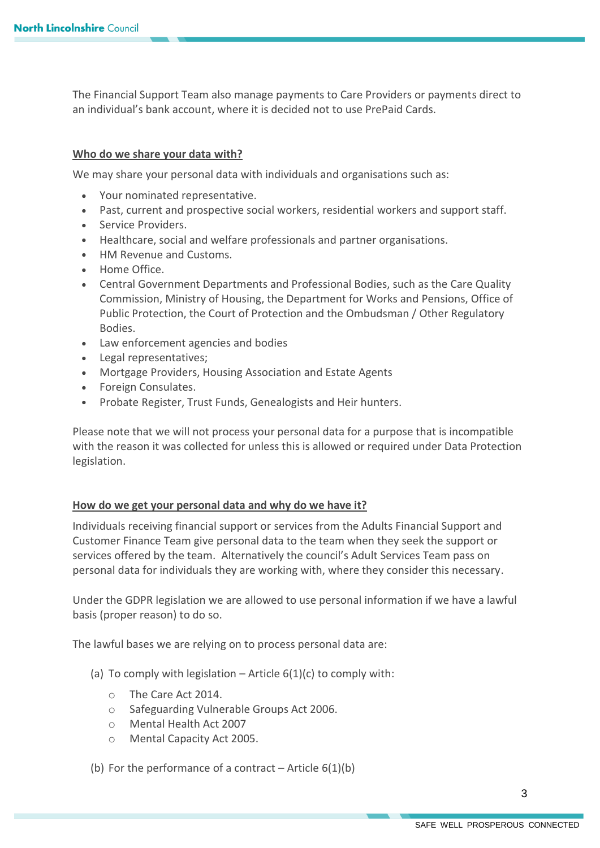The Financial Support Team also manage payments to Care Providers or payments direct to an individual's bank account, where it is decided not to use PrePaid Cards.

### **Who do we share your data with?**

We may share your personal data with individuals and organisations such as:

- Your nominated representative.
- Past, current and prospective social workers, residential workers and support staff.
- Service Providers.
- Healthcare, social and welfare professionals and partner organisations.
- HM Revenue and Customs.
- Home Office.
- Central Government Departments and Professional Bodies, such as the Care Quality Commission, Ministry of Housing, the Department for Works and Pensions, Office of Public Protection, the Court of Protection and the Ombudsman / Other Regulatory Bodies.
- Law enforcement agencies and bodies
- Legal representatives;
- Mortgage Providers, Housing Association and Estate Agents
- Foreign Consulates.
- Probate Register, Trust Funds, Genealogists and Heir hunters.

Please note that we will not process your personal data for a purpose that is incompatible with the reason it was collected for unless this is allowed or required under Data Protection legislation.

#### **How do we get your personal data and why do we have it?**

Individuals receiving financial support or services from the Adults Financial Support and Customer Finance Team give personal data to the team when they seek the support or services offered by the team. Alternatively the council's Adult Services Team pass on personal data for individuals they are working with, where they consider this necessary.

Under the GDPR legislation we are allowed to use personal information if we have a lawful basis (proper reason) to do so.

The lawful bases we are relying on to process personal data are:

- (a) To comply with legislation Article  $6(1)(c)$  to comply with:
	- o The Care Act 2014.
	- o Safeguarding Vulnerable Groups Act 2006.
	- o Mental Health Act 2007
	- o Mental Capacity Act 2005.
- (b) For the performance of a contract Article  $6(1)(b)$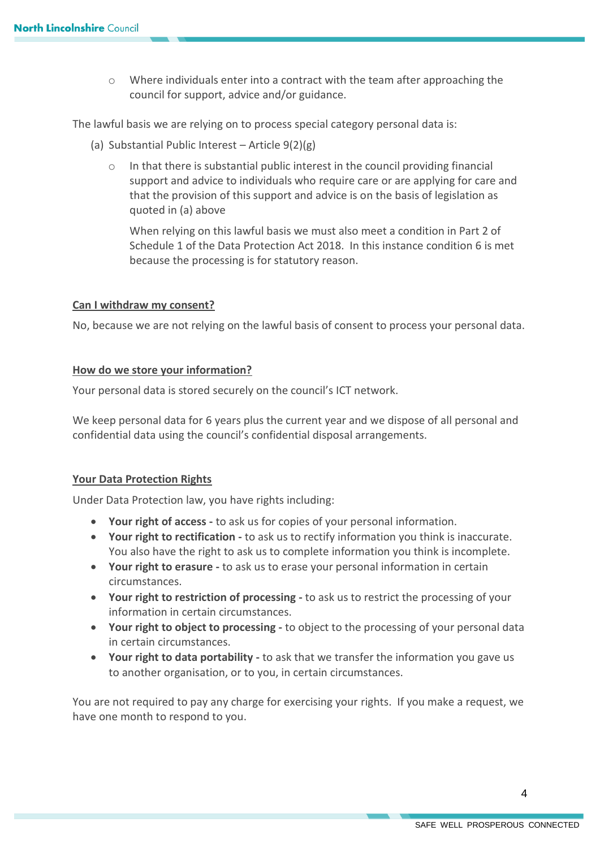o Where individuals enter into a contract with the team after approaching the council for support, advice and/or guidance.

The lawful basis we are relying on to process special category personal data is:

- (a) Substantial Public Interest Article 9(2)(g)
	- In that there is substantial public interest in the council providing financial support and advice to individuals who require care or are applying for care and that the provision of this support and advice is on the basis of legislation as quoted in (a) above

When relying on this lawful basis we must also meet a condition in Part 2 of Schedule 1 of the Data Protection Act 2018. In this instance condition 6 is met because the processing is for statutory reason.

### **Can I withdraw my consent?**

No, because we are not relying on the lawful basis of consent to process your personal data.

### **How do we store your information?**

Your personal data is stored securely on the council's ICT network.

We keep personal data for 6 years plus the current year and we dispose of all personal and confidential data using the council's confidential disposal arrangements.

#### **Your Data Protection Rights**

Under Data Protection law, you have rights including:

- **Your right of access -** to ask us for copies of your personal information.
- **Your right to rectification -** to ask us to rectify information you think is inaccurate. You also have the right to ask us to complete information you think is incomplete.
- **Your right to erasure -** to ask us to erase your personal information in certain circumstances.
- **Your right to restriction of processing -** to ask us to restrict the processing of your information in certain circumstances.
- **Your right to object to processing -** to object to the processing of your personal data in certain circumstances.
- **Your right to data portability -** to ask that we transfer the information you gave us to another organisation, or to you, in certain circumstances.

You are not required to pay any charge for exercising your rights. If you make a request, we have one month to respond to you.